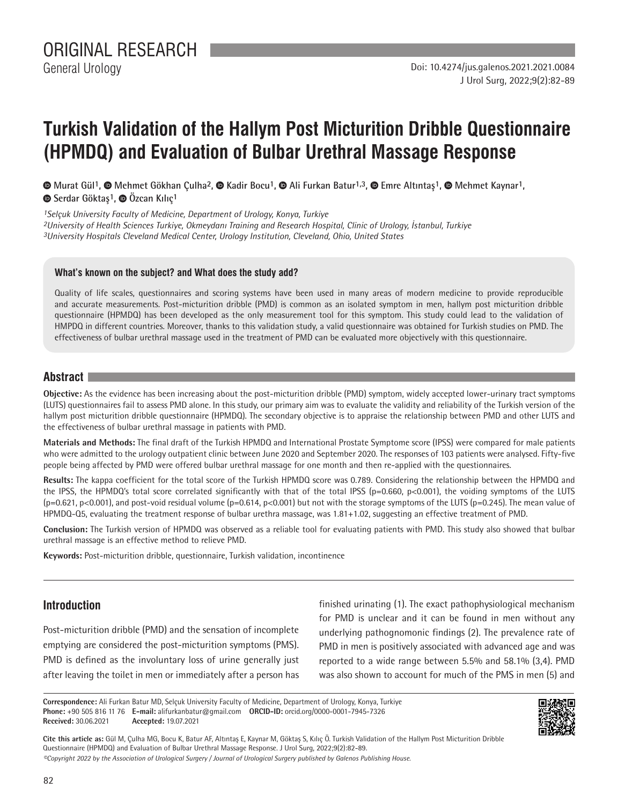# **Turkish Validation of the Hallym Post Micturition Dribble Questionnaire (HPMDQ) and Evaluation of Bulbar Urethral Massage Response**

 **Murat Gül1, Mehmet Gökhan Çulha2,Kadir Bocu1,Ali Furkan Batur1,3, Emre Altıntaş1,Mehmet Kaynar1, Serdar Göktaş1,Özcan Kılıç1**

*1Selçuk University Faculty of Medicine, Department of Urology, Konya, Turkiye 2University of Health Sciences Turkiye, Okmeydanı Training and Research Hospital, Clinic of Urology, İstanbul, Turkiye 3University Hospitals Cleveland Medical Center, Urology Institution, Cleveland, Ohio, United States*

#### **What's known on the subject? and What does the study add?**

Quality of life scales, questionnaires and scoring systems have been used in many areas of modern medicine to provide reproducible and accurate measurements. Post-micturition dribble (PMD) is common as an isolated symptom in men, hallym post micturition dribble questionnaire (HPMDQ) has been developed as the only measurement tool for this symptom. This study could lead to the validation of HMPDQ in different countries. Moreover, thanks to this validation study, a valid questionnaire was obtained for Turkish studies on PMD. The effectiveness of bulbar urethral massage used in the treatment of PMD can be evaluated more objectively with this questionnaire.

# **Abstract**

**Objective:** As the evidence has been increasing about the post-micturition dribble (PMD) symptom, widely accepted lower-urinary tract symptoms (LUTS) questionnaires fail to assess PMD alone. In this study, our primary aim was to evaluate the validity and reliability of the Turkish version of the hallym post micturition dribble questionnaire (HPMDQ). The secondary objective is to appraise the relationship between PMD and other LUTS and the effectiveness of bulbar urethral massage in patients with PMD.

**Materials and Methods:** The final draft of the Turkish HPMDQ and International Prostate Symptome score (IPSS) were compared for male patients who were admitted to the urology outpatient clinic between June 2020 and September 2020. The responses of 103 patients were analysed. Fifty-five people being affected by PMD were offered bulbar urethral massage for one month and then re-applied with the questionnaires.

**Results:** The kappa coefficient for the total score of the Turkish HPMDQ score was 0.789. Considering the relationship between the HPMDQ and the IPSS, the HPMDQ's total score correlated significantly with that of the total IPSS (p=0.660, p<0.001), the voiding symptoms of the LUTS  $(p=0.621, p<0.001)$ , and post-void residual volume  $(p=0.614, p<0.001)$  but not with the storage symptoms of the LUTS  $(p=0.245)$ . The mean value of HPMDQ-Q5, evaluating the treatment response of bulbar urethra massage, was 1.81+1.02, suggesting an effective treatment of PMD.

**Conclusion:** The Turkish version of HPMDQ was observed as a reliable tool for evaluating patients with PMD. This study also showed that bulbar urethral massage is an effective method to relieve PMD.

**Keywords:** Post-micturition dribble, questionnaire, Turkish validation, incontinence

# **Introduction**

Post-micturition dribble (PMD) and the sensation of incomplete emptying are considered the post-micturition symptoms (PMS). PMD is defined as the involuntary loss of urine generally just after leaving the toilet in men or immediately after a person has finished urinating (1). The exact pathophysiological mechanism for PMD is unclear and it can be found in men without any underlying pathognomonic findings (2). The prevalence rate of PMD in men is positively associated with advanced age and was reported to a wide range between 5.5% and 58.1% (3,4). PMD was also shown to account for much of the PMS in men (5) and

**Correspondence:** Ali Furkan Batur MD, Selçuk University Faculty of Medicine, Department of Urology, Konya, Turkiye **Phone:** +90 505 816 11 76 **E-mail:** alifurkanbatur@gmail.com **ORCID-ID:** orcid.org/0000-0001-7945-7326 **Received:** 30.06.2021 **Accepted:** 19.07.2021



**Cite this article as:** Gül M, Çulha MG, Bocu K, Batur AF, Altıntaş E, Kaynar M, Göktaş S, Kılıç Ö. Turkish Validation of the Hallym Post Micturition Dribble Questionnaire (HPMDQ) and Evaluation of Bulbar Urethral Massage Response. J Urol Surg, 2022;9(2):82-89.

*©Copyright 2022 by the Association of Urological Surgery / Journal of Urological Surgery published by Galenos Publishing House.*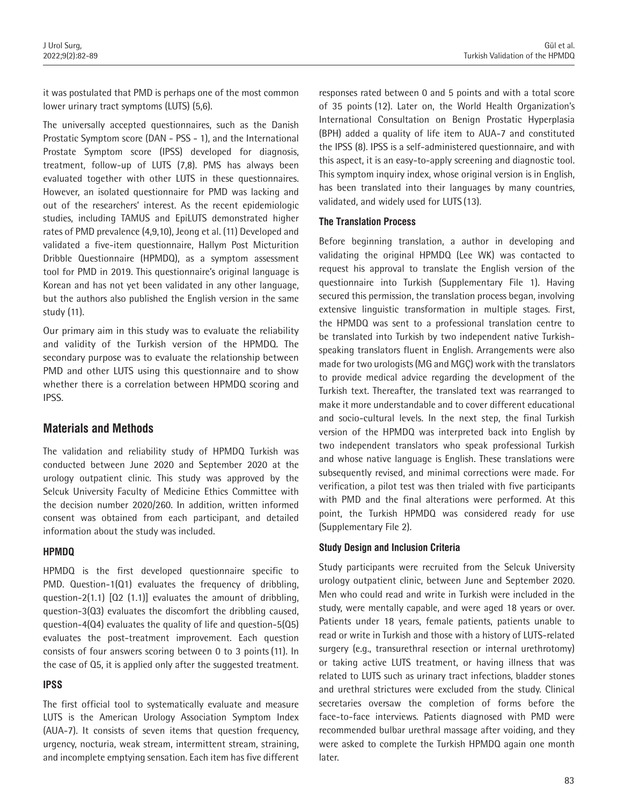it was postulated that PMD is perhaps one of the most common lower urinary tract symptoms (LUTS) (5,6).

The universally accepted questionnaires, such as the Danish Prostatic Symptom score (DAN ‐ PSS ‐ 1), and the International Prostate Symptom score (IPSS) developed for diagnosis, treatment, follow-up of LUTS (7,8). PMS has always been evaluated together with other LUTS in these questionnaires. However, an isolated questionnaire for PMD was lacking and out of the researchers' interest. As the recent epidemiologic studies, including TAMUS and EpiLUTS demonstrated higher rates of PMD prevalence (4,9,10), Jeong et al. (11) Developed and validated a five-item questionnaire, Hallym Post Micturition Dribble Questionnaire (HPMDQ), as a symptom assessment tool for PMD in 2019. This questionnaire's original language is Korean and has not yet been validated in any other language, but the authors also published the English version in the same study (11).

Our primary aim in this study was to evaluate the reliability and validity of the Turkish version of the HPMDQ. The secondary purpose was to evaluate the relationship between PMD and other LUTS using this questionnaire and to show whether there is a correlation between HPMDQ scoring and IPSS.

# **Materials and Methods**

The validation and reliability study of HPMDQ Turkish was conducted between June 2020 and September 2020 at the urology outpatient clinic. This study was approved by the Selcuk University Faculty of Medicine Ethics Committee with the decision number 2020/260. In addition, written informed consent was obtained from each participant, and detailed information about the study was included.

## **HPMDQ**

HPMDQ is the first developed questionnaire specific to PMD. Question-1(Q1) evaluates the frequency of dribbling, question-2(1.1) [Q2 (1.1)] evaluates the amount of dribbling, question-3(Q3) evaluates the discomfort the dribbling caused, question-4(Q4) evaluates the quality of life and question-5(Q5) evaluates the post-treatment improvement. Each question consists of four answers scoring between 0 to 3 points (11). In the case of Q5, it is applied only after the suggested treatment.

## **IPSS**

The first official tool to systematically evaluate and measure LUTS is the American Urology Association Symptom Index (AUA-7). It consists of seven items that question frequency, urgency, nocturia, weak stream, intermittent stream, straining, and incomplete emptying sensation. Each item has five different

responses rated between 0 and 5 points and with a total score of 35 points (12). Later on, the World Health Organization's International Consultation on Benign Prostatic Hyperplasia (BPH) added a quality of life item to AUA-7 and constituted the IPSS (8). IPSS is a self-administered questionnaire, and with this aspect, it is an easy-to-apply screening and diagnostic tool. This symptom inquiry index, whose original version is in English, has been translated into their languages by many countries, validated, and widely used for LUTS (13).

#### **The Translation Process**

Before beginning translation, a author in developing and validating the original HPMDQ (Lee WK) was contacted to request his approval to translate the English version of the questionnaire into Turkish (Supplementary File 1). Having secured this permission, the translation process began, involving extensive linguistic transformation in multiple stages. First, the HPMDQ was sent to a professional translation centre to be translated into Turkish by two independent native Turkishspeaking translators fluent in English. Arrangements were also made for two urologists (MG and MGÇ) work with the translators to provide medical advice regarding the development of the Turkish text. Thereafter, the translated text was rearranged to make it more understandable and to cover different educational and socio-cultural levels. In the next step, the final Turkish version of the HPMDQ was interpreted back into English by two independent translators who speak professional Turkish and whose native language is English. These translations were subsequently revised, and minimal corrections were made. For verification, a pilot test was then trialed with five participants with PMD and the final alterations were performed. At this point, the Turkish HPMDQ was considered ready for use (Supplementary File 2).

#### **Study Design and Inclusion Criteria**

Study participants were recruited from the Selcuk University urology outpatient clinic, between June and September 2020. Men who could read and write in Turkish were included in the study, were mentally capable, and were aged 18 years or over. Patients under 18 years, female patients, patients unable to read or write in Turkish and those with a history of LUTS-related surgery (e.g., transurethral resection or internal urethrotomy) or taking active LUTS treatment, or having illness that was related to LUTS such as urinary tract infections, bladder stones and urethral strictures were excluded from the study. Clinical secretaries oversaw the completion of forms before the face-to-face interviews. Patients diagnosed with PMD were recommended bulbar urethral massage after voiding, and they were asked to complete the Turkish HPMDQ again one month later.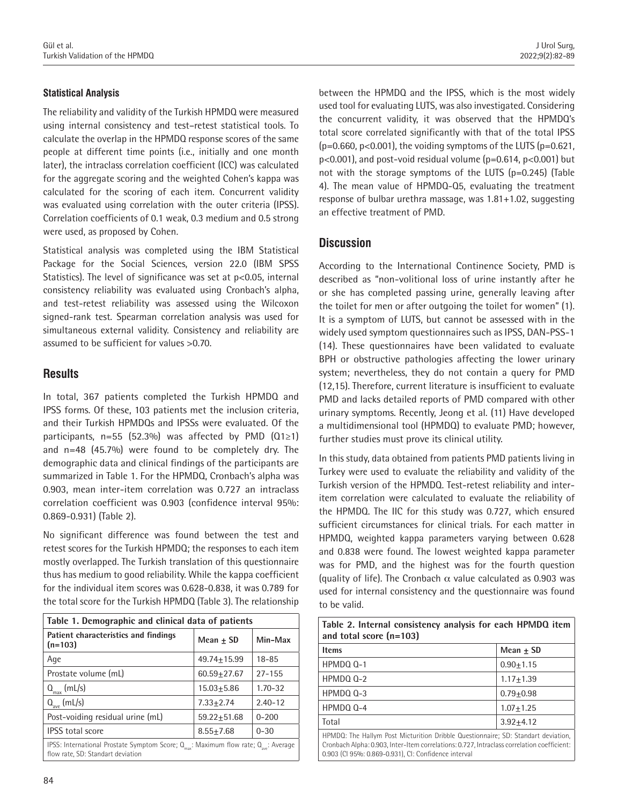#### **Statistical Analysis**

The reliability and validity of the Turkish HPMDQ were measured using internal consistency and test–retest statistical tools. To calculate the overlap in the HPMDQ response scores of the same people at different time points (i.e., initially and one month later), the intraclass correlation coefficient (ICC) was calculated for the aggregate scoring and the weighted Cohen's kappa was calculated for the scoring of each item. Concurrent validity was evaluated using correlation with the outer criteria (IPSS). Correlation coefficients of 0.1 weak, 0.3 medium and 0.5 strong were used, as proposed by Cohen.

Statistical analysis was completed using the IBM Statistical Package for the Social Sciences, version 22.0 (IBM SPSS Statistics). The level of significance was set at p<0.05, internal consistency reliability was evaluated using Cronbach's alpha, and test-retest reliability was assessed using the Wilcoxon signed-rank test. Spearman correlation analysis was used for simultaneous external validity. Consistency and reliability are assumed to be sufficient for values >0.70.

# **Results**

In total, 367 patients completed the Turkish HPMDQ and IPSS forms. Of these, 103 patients met the inclusion criteria, and their Turkish HPMDQs and IPSSs were evaluated. Of the participants, n=55 (52.3%) was affected by PMD (Q1≥1) and n=48 (45.7%) were found to be completely dry. The demographic data and clinical findings of the participants are summarized in Table 1. For the HPMDQ, Cronbach's alpha was 0.903, mean inter-item correlation was 0.727 an intraclass correlation coefficient was 0.903 (confidence interval 95%: 0.869-0.931) (Table 2).

No significant difference was found between the test and retest scores for the Turkish HPMDQ; the responses to each item mostly overlapped. The Turkish translation of this questionnaire thus has medium to good reliability. While the kappa coefficient for the individual item scores was 0.628-0.838, it was 0.789 for the total score for the Turkish HPMDQ (Table 3). The relationship

| Table 1. Demographic and clinical data of patients                                                                                                |                 |             |  |
|---------------------------------------------------------------------------------------------------------------------------------------------------|-----------------|-------------|--|
| Patient characteristics and findings<br>$(n=103)$                                                                                                 | Mean + SD       | Min-Max     |  |
| Age                                                                                                                                               | 49.74+15.99     | $18 - 85$   |  |
| Prostate volume (mL)                                                                                                                              | 60.59+27.67     | $27 - 155$  |  |
| $Q_{\text{max}}$ (mL/s)                                                                                                                           | $15.03 + 5.86$  | $1.70 - 32$ |  |
| $Q_{ave}$ (mL/s)                                                                                                                                  | $7.33 + 2.74$   | $2.40 - 12$ |  |
| Post-voiding residual urine (mL)                                                                                                                  | $59.22 + 51.68$ | $0 - 200$   |  |
| <b>IPSS</b> total score                                                                                                                           | $8.55 + 7.68$   | $0 - 30$    |  |
| IPSS: International Prostate Symptom Score; $Q_{\text{max}}$ : Maximum flow rate; $Q_{\text{max}}$ : Average<br>flow rate, SD: Standart deviation |                 |             |  |

between the HPMDQ and the IPSS, which is the most widely used tool for evaluating LUTS, was also investigated. Considering the concurrent validity, it was observed that the HPMDQ's total score correlated significantly with that of the total IPSS  $(p=0.660, p<0.001)$ , the voiding symptoms of the LUTS  $(p=0.621, p<0.001)$ p<0.001), and post-void residual volume (p=0.614, p<0.001) but not with the storage symptoms of the LUTS (p=0.245) (Table 4). The mean value of HPMDQ-Q5, evaluating the treatment response of bulbar urethra massage, was 1.81+1.02, suggesting an effective treatment of PMD.

# **Discussion**

According to the International Continence Society, PMD is described as "non-volitional loss of urine instantly after he or she has completed passing urine, generally leaving after the toilet for men or after outgoing the toilet for women" (1). It is a symptom of LUTS, but cannot be assessed with in the widely used symptom questionnaires such as IPSS, DAN-PSS-1 (14). These questionnaires have been validated to evaluate BPH or obstructive pathologies affecting the lower urinary system; nevertheless, they do not contain a query for PMD (12,15). Therefore, current literature is insufficient to evaluate PMD and lacks detailed reports of PMD compared with other urinary symptoms. Recently, Jeong et al. (11) Have developed a multidimensional tool (HPMDQ) to evaluate PMD; however, further studies must prove its clinical utility.

In this study, data obtained from patients PMD patients living in Turkey were used to evaluate the reliability and validity of the Turkish version of the HPMDQ. Test-retest reliability and interitem correlation were calculated to evaluate the reliability of the HPMDQ. The IIC for this study was 0.727, which ensured sufficient circumstances for clinical trials. For each matter in HPMDQ, weighted kappa parameters varying between 0.628 and 0.838 were found. The lowest weighted kappa parameter was for PMD, and the highest was for the fourth question (quality of life). The Cronbach  $\alpha$  value calculated as 0.903 was used for internal consistency and the questionnaire was found to be valid.

| Table 2. Internal consistency analysis for each HPMDQ item<br>and total score $(n=103)$                                                                                                                                                 |               |  |  |
|-----------------------------------------------------------------------------------------------------------------------------------------------------------------------------------------------------------------------------------------|---------------|--|--|
| <b>Items</b>                                                                                                                                                                                                                            | Mean + SD     |  |  |
| HPMDQ Q-1                                                                                                                                                                                                                               | $0.90 + 1.15$ |  |  |
| $HPMDO_0-2$                                                                                                                                                                                                                             | $1.17 + 1.39$ |  |  |
| $HPMDO_0-3$                                                                                                                                                                                                                             | $0.79 + 0.98$ |  |  |
| HPMDQ Q-4                                                                                                                                                                                                                               | $1.07 + 1.25$ |  |  |
| Total                                                                                                                                                                                                                                   | $3.92 + 4.12$ |  |  |
| HPMDQ: The Hallym Post Micturition Dribble Questionnaire; SD: Standart deviation,<br>Cronbach Alpha: 0.903, Inter-Item correlations: 0.727, Intraclass correlation coefficient:<br>0.903 (CI 95%: 0.869-0.931), CI: Confidence interval |               |  |  |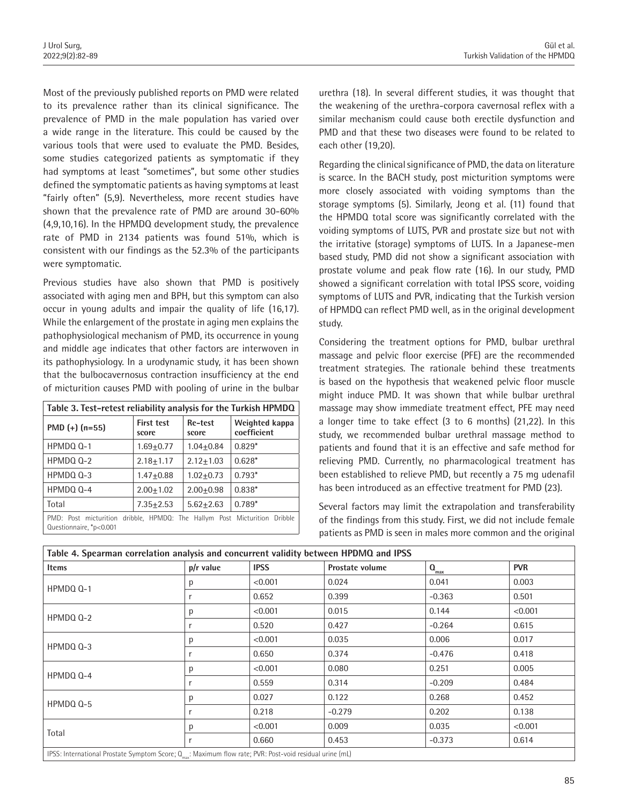Most of the previously published reports on PMD were related to its prevalence rather than its clinical significance. The prevalence of PMD in the male population has varied over a wide range in the literature. This could be caused by the various tools that were used to evaluate the PMD. Besides, some studies categorized patients as symptomatic if they had symptoms at least "sometimes", but some other studies defined the symptomatic patients as having symptoms at least "fairly often" (5,9). Nevertheless, more recent studies have shown that the prevalence rate of PMD are around 30-60% (4,9,10,16). In the HPMDQ development study, the prevalence rate of PMD in 2134 patients was found 51%, which is consistent with our findings as the 52.3% of the participants were symptomatic.

Previous studies have also shown that PMD is positively associated with aging men and BPH, but this symptom can also occur in young adults and impair the quality of life (16,17). While the enlargement of the prostate in aging men explains the pathophysiological mechanism of PMD, its occurrence in young and middle age indicates that other factors are interwoven in its pathophysiology. In a urodynamic study, it has been shown that the bulbocavernosus contraction insufficiency at the end of micturition causes PMD with pooling of urine in the bulbar

| Table 3. Test-retest reliability analysis for the Turkish HPMDQ                                      |                            |                  |                               |
|------------------------------------------------------------------------------------------------------|----------------------------|------------------|-------------------------------|
| PMD $(+)$ $(n=55)$                                                                                   | <b>First test</b><br>score | Re-test<br>score | Weighted kappa<br>coefficient |
| HPMDO 0-1                                                                                            | $1.69 + 0.77$              | $1.04 + 0.84$    | $0.829*$                      |
| HPMDQ Q-2                                                                                            | $2.18 + 1.17$              | $2.12 + 1.03$    | $0.628*$                      |
| HPMDQ Q-3                                                                                            | $1.47 + 0.88$              | $1.02 + 0.73$    | $0.793*$                      |
| HPMDQ Q-4                                                                                            | $2.00 + 1.02$              | $2.00 + 0.98$    | $0.838*$                      |
| Total                                                                                                | $7.35 + 2.53$              | $5.62 + 2.63$    | $0.789*$                      |
| PMD: Post micturition dribble, HPMDQ: The Hallym Post Micturition Dribble<br>Questionnaire, *p<0.001 |                            |                  |                               |

urethra (18). In several different studies, it was thought that the weakening of the urethra-corpora cavernosal reflex with a similar mechanism could cause both erectile dysfunction and PMD and that these two diseases were found to be related to each other (19,20).

Regarding the clinical significance of PMD, the data on literature is scarce. In the BACH study, post micturition symptoms were more closely associated with voiding symptoms than the storage symptoms (5). Similarly, Jeong et al. (11) found that the HPMDQ total score was significantly correlated with the voiding symptoms of LUTS, PVR and prostate size but not with the irritative (storage) symptoms of LUTS. In a Japanese-men based study, PMD did not show a significant association with prostate volume and peak flow rate (16). In our study, PMD showed a significant correlation with total IPSS score, voiding symptoms of LUTS and PVR, indicating that the Turkish version of HPMDQ can reflect PMD well, as in the original development study.

Considering the treatment options for PMD, bulbar urethral massage and pelvic floor exercise (PFE) are the recommended treatment strategies. The rationale behind these treatments is based on the hypothesis that weakened pelvic floor muscle might induce PMD. It was shown that while bulbar urethral massage may show immediate treatment effect, PFE may need a longer time to take effect (3 to 6 months) (21,22). In this study, we recommended bulbar urethral massage method to patients and found that it is an effective and safe method for relieving PMD. Currently, no pharmacological treatment has been established to relieve PMD, but recently a 75 mg udenafil has been introduced as an effective treatment for PMD (23).

Several factors may limit the extrapolation and transferability of the findings from this study. First, we did not include female patients as PMD is seen in males more common and the original

| Table 4. Spearman correlation analysis and concurrent validity between HPDMQ and IPSS                                |             |             |                        |                  |            |
|----------------------------------------------------------------------------------------------------------------------|-------------|-------------|------------------------|------------------|------------|
| <b>Items</b>                                                                                                         | $p/r$ value | <b>IPSS</b> | <b>Prostate volume</b> | $Q_{\text{max}}$ | <b>PVR</b> |
| HPMDQ Q-1                                                                                                            |             | < 0.001     | 0.024                  | 0.041            | 0.003      |
|                                                                                                                      |             | 0.652       | 0.399                  | $-0.363$         | 0.501      |
| HPMDQ Q-2                                                                                                            | n           | < 0.001     | 0.015                  | 0.144            | < 0.001    |
|                                                                                                                      |             | 0.520       | 0.427                  | $-0.264$         | 0.615      |
| HPMDQ Q-3                                                                                                            | Ŋ           | < 0.001     | 0.035                  | 0.006            | 0.017      |
|                                                                                                                      |             | 0.650       | 0.374                  | $-0.476$         | 0.418      |
| $HPMDO_0-4$                                                                                                          |             | < 0.001     | 0.080                  | 0.251            | 0.005      |
|                                                                                                                      |             | 0.559       | 0.314                  | $-0.209$         | 0.484      |
|                                                                                                                      |             | 0.027       | 0.122                  | 0.268            | 0.452      |
| HPMDQ Q-5                                                                                                            |             | 0.218       | $-0.279$               | 0.202            | 0.138      |
| Total                                                                                                                |             | < 0.001     | 0.009                  | 0.035            | < 0.001    |
|                                                                                                                      |             | 0.660       | 0.453                  | $-0.373$         | 0.614      |
| IPSS: International Prostate Symptom Score; $Q_{\text{max}}$ : Maximum flow rate; PVR: Post-void residual urine (mL) |             |             |                        |                  |            |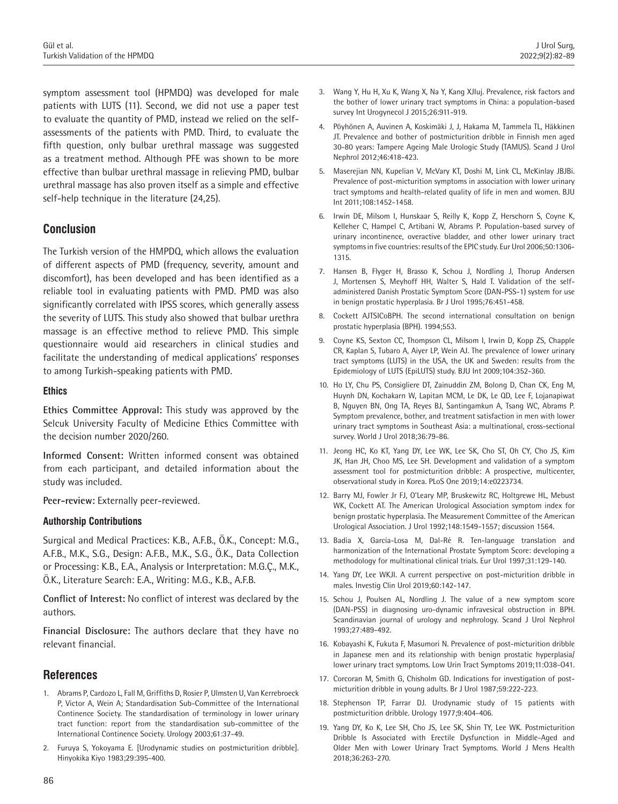symptom assessment tool (HPMDQ) was developed for male patients with LUTS (11). Second, we did not use a paper test to evaluate the quantity of PMD, instead we relied on the selfassessments of the patients with PMD. Third, to evaluate the fifth question, only bulbar urethral massage was suggested as a treatment method. Although PFE was shown to be more effective than bulbar urethral massage in relieving PMD, bulbar urethral massage has also proven itself as a simple and effective self-help technique in the literature (24,25).

# **Conclusion**

The Turkish version of the HMPDQ, which allows the evaluation of different aspects of PMD (frequency, severity, amount and discomfort), has been developed and has been identified as a reliable tool in evaluating patients with PMD. PMD was also significantly correlated with IPSS scores, which generally assess the severity of LUTS. This study also showed that bulbar urethra massage is an effective method to relieve PMD. This simple questionnaire would aid researchers in clinical studies and facilitate the understanding of medical applications' responses to among Turkish-speaking patients with PMD.

#### **Ethics**

**Ethics Committee Approval:** This study was approved by the Selcuk University Faculty of Medicine Ethics Committee with the decision number 2020/260.

**Informed Consent:** Written informed consent was obtained from each participant, and detailed information about the study was included.

**Peer-review:** Externally peer-reviewed.

#### **Authorship Contributions**

Surgical and Medical Practices: K.B., A.F.B., Ö.K., Concept: M.G., A.F.B., M.K., S.G., Design: A.F.B., M.K., S.G., Ö.K., Data Collection or Processing: K.B., E.A., Analysis or Interpretation: M.G.Ç., M.K., Ö.K., Literature Search: E.A., Writing: M.G., K.B., A.F.B.

**Conflict of Interest:** No conflict of interest was declared by the authors.

**Financial Disclosure:** The authors declare that they have no relevant financial.

## **References**

- 1. Abrams P, Cardozo L, Fall M, Griffiths D, Rosier P, Ulmsten U, Van Kerrebroeck P, Victor A, Wein A; Standardisation Sub-Committee of the International Continence Society. The standardisation of terminology in lower urinary tract function: report from the standardisation sub-committee of the International Continence Society. Urology 2003;61:37-49.
- 2. Furuya S, Yokoyama E. [Urodynamic studies on postmicturition dribble]. Hinyokika Kiyo 1983;29:395-400.
- 3. Wang Y, Hu H, Xu K, Wang X, Na Y, Kang XJIuj. Prevalence, risk factors and the bother of lower urinary tract symptoms in China: a population-based survey Int Urogynecol J 2015;26:911-919.
- 4. Pöyhönen A, Auvinen A, Koskimäki J, J, Hakama M, Tammela TL, Häkkinen JT. Prevalence and bother of postmicturition dribble in Finnish men aged 30-80 years: Tampere Ageing Male Urologic Study (TAMUS). Scand J Urol Nephrol 2012;46:418-423.
- 5. Maserejian NN, Kupelian V, McVary KT, Doshi M, Link CL, McKinlay JBJBi. Prevalence of post-micturition symptoms in association with lower urinary tract symptoms and health‐related quality of life in men and women. BJU Int 2011;108:1452-1458.
- 6. Irwin DE, Milsom I, Hunskaar S, Reilly K, Kopp Z, Herschorn S, Coyne K, Kelleher C, Hampel C, Artibani W, Abrams P. Population-based survey of urinary incontinence, overactive bladder, and other lower urinary tract symptoms in five countries: results of the EPIC study. Eur Urol 2006;50:1306- 1315.
- 7. Hansen B, Flyger H, Brasso K, Schou J, Nordling J, Thorup Andersen J, Mortensen S, Meyhoff HH, Walter S, Hald T. Validation of the selfadministered Danish Prostatic Symptom Score (DAN-PSS-1) system for use in benign prostatic hyperplasia. Br J Urol 1995;76:451-458.
- 8. Cockett AJTSICoBPH. The second international consultation on benign prostatic hyperplasia (BPH). 1994;553.
- 9. Coyne KS, Sexton CC, Thompson CL, Milsom I, Irwin D, Kopp ZS, Chapple CR, Kaplan S, Tubaro A, Aiyer LP, Wein AJ. The prevalence of lower urinary tract symptoms (LUTS) in the USA, the UK and Sweden: results from the Epidemiology of LUTS (EpiLUTS) study. BJU Int 2009;104:352-360.
- 10. Ho LY, Chu PS, Consigliere DT, Zainuddin ZM, Bolong D, Chan CK, Eng M, Huynh DN, Kochakarn W, Lapitan MCM, Le DK, Le QD, Lee F, Lojanapiwat B, Nguyen BN, Ong TA, Reyes BJ, Santingamkun A, Tsang WC, Abrams P. Symptom prevalence, bother, and treatment satisfaction in men with lower urinary tract symptoms in Southeast Asia: a multinational, cross-sectional survey. World J Urol 2018;36:79-86.
- 11. Jeong HC, Ko KT, Yang DY, Lee WK, Lee SK, Cho ST, Oh CY, Cho JS, Kim JK, Han JH, Choo MS, Lee SH. Development and validation of a symptom assessment tool for postmicturition dribble: A prospective, multicenter, observational study in Korea. PLoS One 2019;14:e0223734.
- 12. Barry MJ, Fowler Jr FJ, O'Leary MP, Bruskewitz RC, Holtgrewe HL, Mebust WK, Cockett AT. The American Urological Association symptom index for benign prostatic hyperplasia. The Measurement Committee of the American Urological Association. J Urol 1992;148:1549-1557; discussion 1564.
- 13. Badía X, García-Losa M, Dal-Ré R. Ten-language translation and harmonization of the International Prostate Symptom Score: developing a methodology for multinational clinical trials. Eur Urol 1997;31:129-140.
- 14. Yang DY, Lee WKJI. A current perspective on post-micturition dribble in males. Investig Clin Urol 2019;60:142-147.
- 15. Schou J, Poulsen AL, Nordling J. The value of a new symptom score (DAN-PSS) in diagnosing uro-dynamic infravesical obstruction in BPH. Scandinavian journal of urology and nephrology. Scand J Urol Nephrol 1993;27:489-492.
- 16. Kobayashi K, Fukuta F, Masumori N. Prevalence of post-micturition dribble in Japanese men and its relationship with benign prostatic hyperplasia/ lower urinary tract symptoms. Low Urin Tract Symptoms 2019;11:O38-O41.
- 17. Corcoran M, Smith G, Chisholm GD. Indications for investigation of postmicturition dribble in young adults. Br J Urol 1987;59:222-223.
- 18. Stephenson TP, Farrar DJ. Urodynamic study of 15 patients with postmicturition dribble. Urology 1977;9:404-406.
- 19. Yang DY, Ko K, Lee SH, Cho JS, Lee SK, Shin TY, Lee WK. Postmicturition Dribble Is Associated with Erectile Dysfunction in Middle-Aged and Older Men with Lower Urinary Tract Symptoms. World J Mens Health 2018;36:263-270.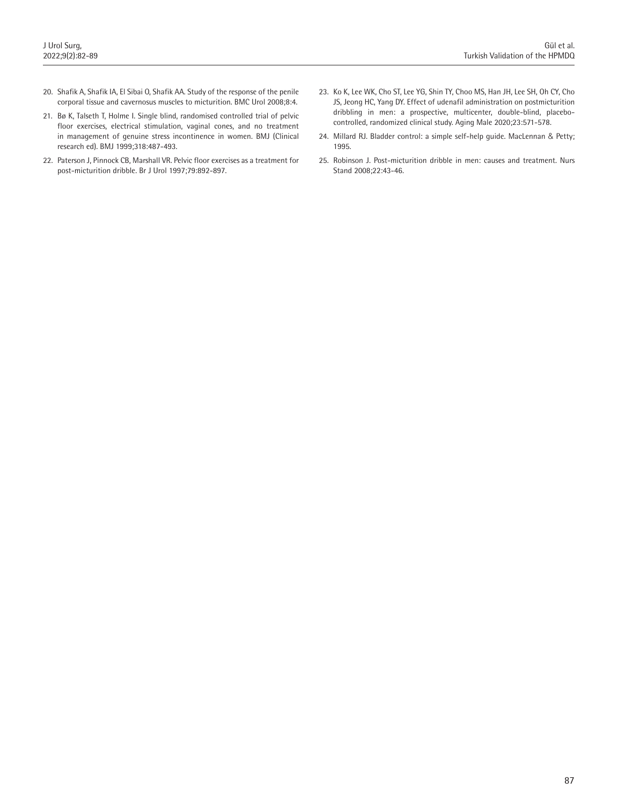- 20. Shafik A, Shafik IA, El Sibai O, Shafik AA. Study of the response of the penile corporal tissue and cavernosus muscles to micturition. BMC Urol 2008;8:4.
- 21. Bø K, Talseth T, Holme I. Single blind, randomised controlled trial of pelvic floor exercises, electrical stimulation, vaginal cones, and no treatment in management of genuine stress incontinence in women. BMJ (Clinical research ed). BMJ 1999;318:487-493.
- 22. Paterson J, Pinnock CB, Marshall VR. Pelvic floor exercises as a treatment for post-micturition dribble. Br J Urol 1997;79:892-897.
- 23. Ko K, Lee WK, Cho ST, Lee YG, Shin TY, Choo MS, Han JH, Lee SH, Oh CY, Cho JS, Jeong HC, Yang DY. Effect of udenafil administration on postmicturition dribbling in men: a prospective, multicenter, double-blind, placebocontrolled, randomized clinical study. Aging Male 2020;23:571-578.
- 24. Millard RJ. Bladder control: a simple self-help guide. MacLennan & Petty; 1995.
- 25. Robinson J. Post-micturition dribble in men: causes and treatment. Nurs Stand 2008;22:43-46.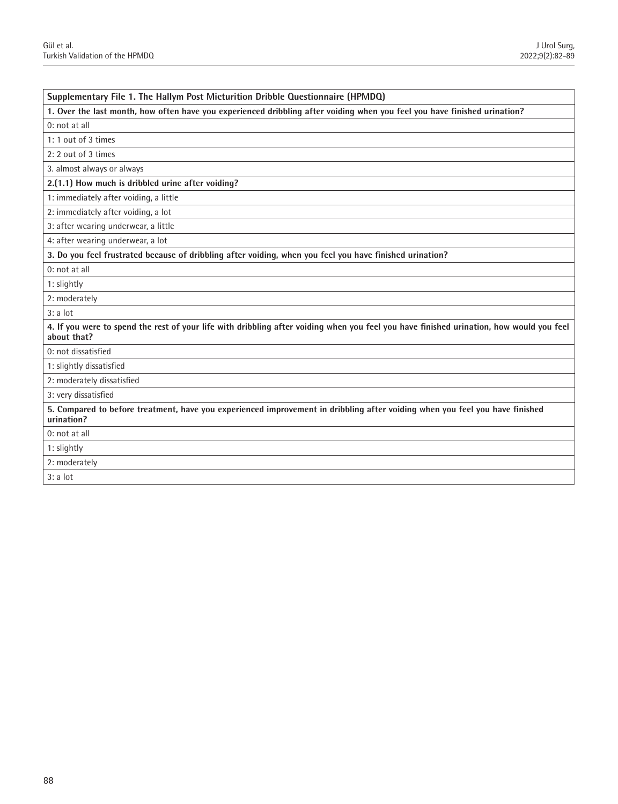| Supplementary File 1. The Hallym Post Micturition Dribble Questionnaire (HPMDQ)                                                                         |
|---------------------------------------------------------------------------------------------------------------------------------------------------------|
| 1. Over the last month, how often have you experienced dribbling after voiding when you feel you have finished urination?                               |
| 0: not at all                                                                                                                                           |
| 1: 1 out of 3 times                                                                                                                                     |
| 2: 2 out of 3 times                                                                                                                                     |
| 3. almost always or always                                                                                                                              |
| 2.(1.1) How much is dribbled urine after voiding?                                                                                                       |
| 1: immediately after voiding, a little                                                                                                                  |
| 2: immediately after voiding, a lot                                                                                                                     |
| 3: after wearing underwear, a little                                                                                                                    |
| 4: after wearing underwear, a lot                                                                                                                       |
| 3. Do you feel frustrated because of dribbling after voiding, when you feel you have finished urination?                                                |
| 0: not at all                                                                                                                                           |
| 1: slightly                                                                                                                                             |
| 2: moderately                                                                                                                                           |
| 3: a lot                                                                                                                                                |
| 4. If you were to spend the rest of your life with dribbling after voiding when you feel you have finished urination, how would you feel<br>about that? |
| 0: not dissatisfied                                                                                                                                     |
| 1: slightly dissatisfied                                                                                                                                |
| 2: moderately dissatisfied                                                                                                                              |
| 3: very dissatisfied                                                                                                                                    |
| 5. Compared to before treatment, have you experienced improvement in dribbling after voiding when you feel you have finished<br>urination?              |
| 0: not at all                                                                                                                                           |
| 1: slightly                                                                                                                                             |
| 2: moderately                                                                                                                                           |
| 3: a lot                                                                                                                                                |